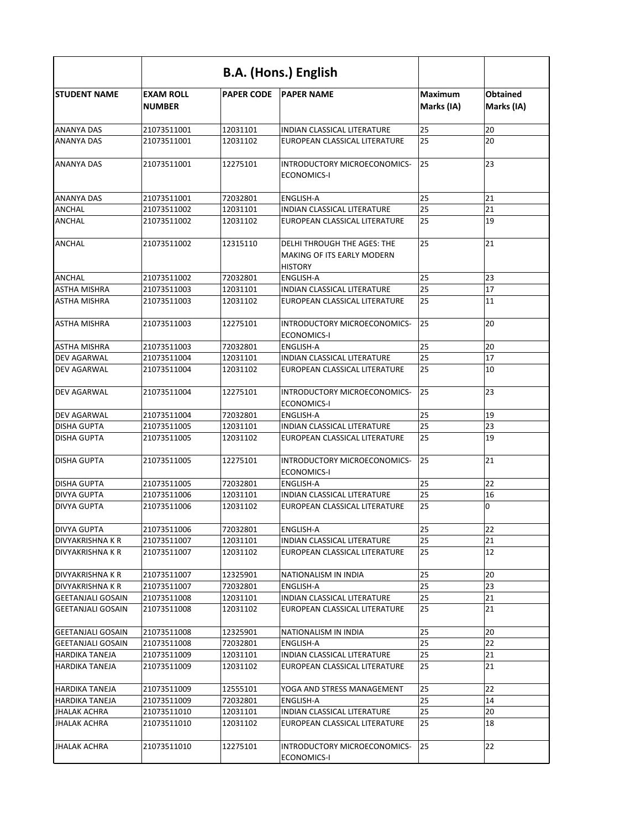|                            |                                   |                   | <b>B.A. (Hons.) English</b>                                                               |                              |                               |
|----------------------------|-----------------------------------|-------------------|-------------------------------------------------------------------------------------------|------------------------------|-------------------------------|
| <b>STUDENT NAME</b>        | <b>EXAM ROLL</b><br><b>NUMBER</b> | <b>PAPER CODE</b> | <b>PAPER NAME</b>                                                                         | <b>Maximum</b><br>Marks (IA) | <b>Obtained</b><br>Marks (IA) |
| <b>ANANYA DAS</b>          | 21073511001                       | 12031101          | INDIAN CLASSICAL LITERATURE                                                               | 25                           | 20                            |
| <b>ANANYA DAS</b>          | 21073511001                       | 12031102          | EUROPEAN CLASSICAL LITERATURE                                                             | 25                           | 20                            |
| <b>ANANYA DAS</b>          | 21073511001                       | 12275101          | INTRODUCTORY MICROECONOMICS-<br><b>ECONOMICS-I</b>                                        | 25                           | 23                            |
| <b>ANANYA DAS</b>          | 21073511001                       | 72032801          | <b>ENGLISH-A</b>                                                                          | 25                           | 21                            |
| <b>ANCHAL</b>              | 21073511002                       | 12031101          | <b>INDIAN CLASSICAL LITERATURE</b>                                                        | 25                           | 21                            |
| <b>ANCHAL</b>              | 21073511002                       | 12031102          | EUROPEAN CLASSICAL LITERATURE                                                             | 25                           | 19                            |
| ANCHAL                     | 21073511002                       | 12315110          | <b>DELHI THROUGH THE AGES: THE</b><br><b>MAKING OF ITS EARLY MODERN</b><br><b>HISTORY</b> | 25                           | 21                            |
| <b>ANCHAL</b>              | 21073511002                       | 72032801          | <b>ENGLISH-A</b>                                                                          | 25                           | 23                            |
| <b>ASTHA MISHRA</b>        | 21073511003                       | 12031101          | INDIAN CLASSICAL LITERATURE                                                               | 25                           | 17                            |
| <b>ASTHA MISHRA</b>        | 21073511003                       | 12031102          | EUROPEAN CLASSICAL LITERATURE                                                             | 25                           | 11                            |
| <b>ASTHA MISHRA</b>        | 21073511003                       | 12275101          | INTRODUCTORY MICROECONOMICS-<br><b>ECONOMICS-I</b>                                        | 25                           | 20                            |
| <b>ASTHA MISHRA</b>        | 21073511003                       | 72032801          | <b>ENGLISH-A</b>                                                                          | 25                           | 20                            |
| DEV AGARWAL                | 21073511004                       | 12031101          | <b>INDIAN CLASSICAL LITERATURE</b>                                                        | 25                           | 17                            |
| <b>DEV AGARWAL</b>         | 21073511004                       | 12031102          | EUROPEAN CLASSICAL LITERATURE                                                             | 25                           | 10                            |
| <b>DEV AGARWAL</b>         | 21073511004                       | 12275101          | INTRODUCTORY MICROECONOMICS-<br><b>ECONOMICS-I</b>                                        | 25                           | 23                            |
| <b>DEV AGARWAL</b>         | 21073511004                       | 72032801          | <b>ENGLISH-A</b>                                                                          | 25                           | 19                            |
| <b>DISHA GUPTA</b>         | 21073511005                       | 12031101          | INDIAN CLASSICAL LITERATURE                                                               | 25                           | 23                            |
| <b>DISHA GUPTA</b>         | 21073511005                       | 12031102          | EUROPEAN CLASSICAL LITERATURE                                                             | 25                           | 19                            |
| <b>DISHA GUPTA</b>         | 21073511005                       | 12275101          | INTRODUCTORY MICROECONOMICS-<br><b>ECONOMICS-I</b>                                        | 25                           | 21                            |
| <b>DISHA GUPTA</b>         | 21073511005                       | 72032801          | <b>ENGLISH-A</b>                                                                          | 25                           | 22                            |
| <b>DIVYA GUPTA</b>         | 21073511006                       | 12031101          | <b>INDIAN CLASSICAL LITERATURE</b>                                                        | 25                           | 16                            |
| <b>DIVYA GUPTA</b>         | 21073511006                       | 12031102          | EUROPEAN CLASSICAL LITERATURE                                                             | 25                           | 0                             |
| <b>DIVYA GUPTA</b>         | 21073511006                       | 72032801          | <b>ENGLISH-A</b>                                                                          | 25                           | 22                            |
| <b>DIVYAKRISHNA K R</b>    | 21073511007                       | 12031101          | INDIAN CLASSICAL LITERATURE                                                               | 25                           | 21                            |
| <b>DIVYAKRISHNA K R</b>    | 21073511007                       | 12031102          | EUROPEAN CLASSICAL LITERATURE                                                             | 25                           | 12                            |
| <b>DIVYAKRISHNA K R</b>    | 21073511007                       | 12325901          | NATIONALISM IN INDIA                                                                      | 25                           | 20                            |
| <b>DIVYAKRISHNA K R</b>    | 21073511007                       | 72032801          | <b>ENGLISH-A</b>                                                                          | 25                           | 23                            |
| <b>GEETANJALI GOSAIN</b>   | 21073511008                       | 12031101          | <b>INDIAN CLASSICAL LITERATURE</b>                                                        | 25                           | 21                            |
| <b>GEETANJALI GOSAIN</b>   | 21073511008                       | 12031102          | EUROPEAN CLASSICAL LITERATURE                                                             | 25                           | 21                            |
| <b>l</b> GEETANJALI GOSAIN | 21073511008                       | 12325901          | NATIONALISM IN INDIA                                                                      | 25                           | 20                            |
| <b>GEETANJALI GOSAIN</b>   | 21073511008                       | 72032801          | <b>ENGLISH-A</b>                                                                          | 25                           | 22                            |
| <b>HARDIKA TANEJA</b>      | 21073511009                       | 12031101          | <b>INDIAN CLASSICAL LITERATURE</b>                                                        | 25                           | 21                            |
| <b>HARDIKA TANEJA</b>      | 21073511009                       | 12031102          | EUROPEAN CLASSICAL LITERATURE                                                             | 25                           | 21                            |
| <b>HARDIKA TANEJA</b>      | 21073511009                       | 12555101          | YOGA AND STRESS MANAGEMENT                                                                | 25                           | 22                            |
| <b>HARDIKA TANEJA</b>      | 21073511009                       | 72032801          | <b>ENGLISH-A</b>                                                                          | 25                           | 14                            |
| JHALAK ACHRA               | 21073511010                       | 12031101          | <b>INDIAN CLASSICAL LITERATURE</b>                                                        | 25                           | 20                            |
| <b>JHALAK ACHRA</b>        | 21073511010                       | 12031102          | EUROPEAN CLASSICAL LITERATURE                                                             | 25                           | 18                            |
| <b>JHALAK ACHRA</b>        | 21073511010                       | 12275101          | INTRODUCTORY MICROECONOMICS-<br><b>ECONOMICS-I</b>                                        | 25                           | 22                            |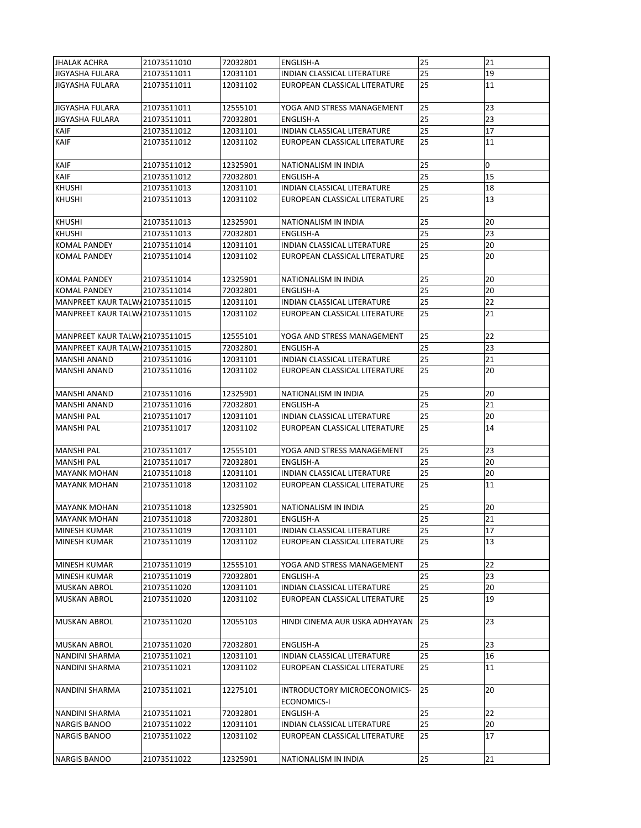| <b>JHALAK ACHRA</b>            | 21073511010 | 72032801 | <b>ENGLISH-A</b>                                          | 25 | 21 |
|--------------------------------|-------------|----------|-----------------------------------------------------------|----|----|
| <b>JIGYASHA FULARA</b>         | 21073511011 | 12031101 | INDIAN CLASSICAL LITERATURE                               | 25 | 19 |
| JIGYASHA FULARA                | 21073511011 | 12031102 | EUROPEAN CLASSICAL LITERATURE                             | 25 | 11 |
| <b>JIGYASHA FULARA</b>         | 21073511011 | 12555101 | YOGA AND STRESS MANAGEMENT                                | 25 | 23 |
| <b>JIGYASHA FULARA</b>         | 21073511011 | 72032801 | <b>ENGLISH-A</b>                                          | 25 | 23 |
| <b>KAIF</b>                    | 21073511012 | 12031101 | <b>INDIAN CLASSICAL LITERATURE</b>                        | 25 | 17 |
| <b>KAIF</b>                    | 21073511012 | 12031102 | EUROPEAN CLASSICAL LITERATURE                             | 25 | 11 |
| <b>KAIF</b>                    | 21073511012 | 12325901 | NATIONALISM IN INDIA                                      | 25 | ۱o |
| KAIF                           | 21073511012 | 72032801 | <b>ENGLISH-A</b>                                          | 25 | 15 |
| <b>KHUSHI</b>                  | 21073511013 | 12031101 | <b>INDIAN CLASSICAL LITERATURE</b>                        | 25 | 18 |
| <b>KHUSHI</b>                  | 21073511013 | 12031102 | EUROPEAN CLASSICAL LITERATURE                             | 25 | 13 |
| <b>KHUSHI</b>                  | 21073511013 | 12325901 | NATIONALISM IN INDIA                                      | 25 | 20 |
| <b>KHUSHI</b>                  | 21073511013 | 72032801 | <b>ENGLISH-A</b>                                          | 25 | 23 |
| <b>KOMAL PANDEY</b>            | 21073511014 | 12031101 | <b>INDIAN CLASSICAL LITERATURE</b>                        | 25 | 20 |
| <b>KOMAL PANDEY</b>            | 21073511014 | 12031102 | EUROPEAN CLASSICAL LITERATURE                             | 25 | 20 |
| <b>KOMAL PANDEY</b>            | 21073511014 | 12325901 | NATIONALISM IN INDIA                                      | 25 | 20 |
| <b>KOMAL PANDEY</b>            | 21073511014 | 72032801 | <b>ENGLISH-A</b>                                          | 25 | 20 |
| MANPREET KAUR TALW 21073511015 |             | 12031101 | INDIAN CLASSICAL LITERATURE                               | 25 | 22 |
| MANPREET KAUR TALW 21073511015 |             | 12031102 | EUROPEAN CLASSICAL LITERATURE                             | 25 | 21 |
| MANPREET KAUR TALW 21073511015 |             | 12555101 | YOGA AND STRESS MANAGEMENT                                | 25 | 22 |
| MANPREET KAUR TALW 21073511015 |             | 72032801 | <b>ENGLISH-A</b>                                          | 25 | 23 |
| <b>MANSHI ANAND</b>            | 21073511016 | 12031101 | <b>INDIAN CLASSICAL LITERATURE</b>                        | 25 | 21 |
| <b>MANSHI ANAND</b>            | 21073511016 | 12031102 | EUROPEAN CLASSICAL LITERATURE                             | 25 | 20 |
| <b>IMANSHI ANAND</b>           | 21073511016 | 12325901 | NATIONALISM IN INDIA                                      | 25 | 20 |
| MANSHI ANAND                   | 21073511016 | 72032801 | <b>ENGLISH-A</b>                                          | 25 | 21 |
| <b>MANSHI PAL</b>              | 21073511017 | 12031101 | <b>INDIAN CLASSICAL LITERATURE</b>                        | 25 | 20 |
| <b>MANSHI PAL</b>              | 21073511017 | 12031102 | EUROPEAN CLASSICAL LITERATURE                             | 25 | 14 |
| <b>MANSHI PAL</b>              | 21073511017 | 12555101 | YOGA AND STRESS MANAGEMENT                                | 25 | 23 |
| <b>MANSHI PAL</b>              | 21073511017 | 72032801 | <b>ENGLISH-A</b>                                          | 25 | 20 |
| <b>MAYANK MOHAN</b>            | 21073511018 | 12031101 | INDIAN CLASSICAL LITERATURE                               | 25 | 20 |
| <b>MAYANK MOHAN</b>            | 21073511018 | 12031102 | EUROPEAN CLASSICAL LITERATURE                             | 25 | 11 |
| <b>MAYANK MOHAN</b>            | 21073511018 | 12325901 | NATIONALISM IN INDIA                                      | 25 | 20 |
| <b>MAYANK MOHAN</b>            | 21073511018 | 72032801 | <b>ENGLISH-A</b>                                          | 25 | 21 |
| <b>MINESH KUMAR</b>            | 21073511019 | 12031101 | <b>INDIAN CLASSICAL LITERATURE</b>                        | 25 | 17 |
| <b>MINESH KUMAR</b>            | 21073511019 | 12031102 | EUROPEAN CLASSICAL LITERATURE                             | 25 | 13 |
| <b>MINESH KUMAR</b>            | 21073511019 | 12555101 | YOGA AND STRESS MANAGEMENT                                | 25 | 22 |
| <b>MINESH KUMAR</b>            | 21073511019 | 72032801 | <b>ENGLISH-A</b>                                          | 25 | 23 |
| <b>MUSKAN ABROL</b>            | 21073511020 | 12031101 | <b>INDIAN CLASSICAL LITERATURE</b>                        | 25 | 20 |
| <b>MUSKAN ABROL</b>            | 21073511020 | 12031102 | EUROPEAN CLASSICAL LITERATURE                             | 25 | 19 |
| <b>MUSKAN ABROL</b>            | 21073511020 | 12055103 | HINDI CINEMA AUR USKA ADHYAYAN                            | 25 | 23 |
| <b>MUSKAN ABROL</b>            | 21073511020 | 72032801 | <b>ENGLISH-A</b>                                          | 25 | 23 |
| <b>NANDINI SHARMA</b>          | 21073511021 | 12031101 | INDIAN CLASSICAL LITERATURE                               | 25 | 16 |
| NANDINI SHARMA                 | 21073511021 | 12031102 | EUROPEAN CLASSICAL LITERATURE                             | 25 | 11 |
| <b>NANDINI SHARMA</b>          | 21073511021 | 12275101 | <b>INTRODUCTORY MICROECONOMICS-</b><br><b>ECONOMICS-I</b> | 25 | 20 |
| NANDINI SHARMA                 | 21073511021 | 72032801 | <b>ENGLISH-A</b>                                          | 25 | 22 |
| <b>NARGIS BANOO</b>            | 21073511022 | 12031101 | INDIAN CLASSICAL LITERATURE                               | 25 | 20 |
| <b>NARGIS BANOO</b>            | 21073511022 | 12031102 | EUROPEAN CLASSICAL LITERATURE                             | 25 | 17 |
| NARGIS BANOO                   | 21073511022 | 12325901 | NATIONALISM IN INDIA                                      | 25 | 21 |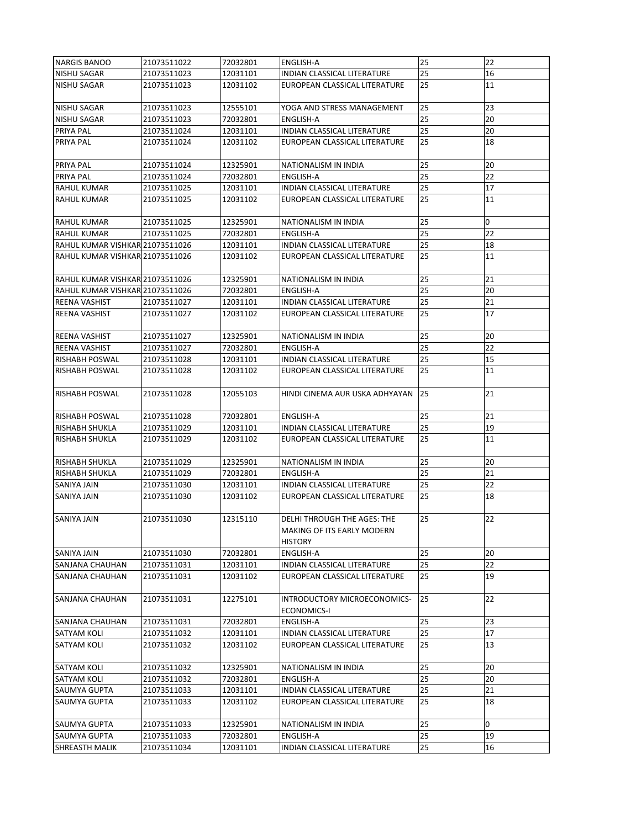| <b>NARGIS BANOO</b>             | 21073511022 | 72032801 | <b>ENGLISH-A</b>                                                                          | 25 | 22             |
|---------------------------------|-------------|----------|-------------------------------------------------------------------------------------------|----|----------------|
| <b>NISHU SAGAR</b>              | 21073511023 | 12031101 | INDIAN CLASSICAL LITERATURE                                                               | 25 | 16             |
| <b>NISHU SAGAR</b>              | 21073511023 | 12031102 | EUROPEAN CLASSICAL LITERATURE                                                             | 25 | 11             |
| <b>NISHU SAGAR</b>              | 21073511023 | 12555101 | YOGA AND STRESS MANAGEMENT                                                                | 25 | 23             |
| <b>NISHU SAGAR</b>              | 21073511023 | 72032801 | <b>ENGLISH-A</b>                                                                          | 25 | 20             |
| <b>PRIYA PAL</b>                | 21073511024 | 12031101 | <b>INDIAN CLASSICAL LITERATURE</b>                                                        | 25 | 20             |
| <b>PRIYA PAL</b>                | 21073511024 | 12031102 | EUROPEAN CLASSICAL LITERATURE                                                             | 25 | 18             |
| <b>PRIYA PAL</b>                | 21073511024 | 12325901 | NATIONALISM IN INDIA                                                                      | 25 | 20             |
| <b>PRIYA PAL</b>                | 21073511024 | 72032801 | <b>ENGLISH-A</b>                                                                          | 25 | 22             |
| <b>RAHUL KUMAR</b>              | 21073511025 | 12031101 | <b>INDIAN CLASSICAL LITERATURE</b>                                                        | 25 | 17             |
| <b>RAHUL KUMAR</b>              | 21073511025 | 12031102 | EUROPEAN CLASSICAL LITERATURE                                                             | 25 | 11             |
| <b>RAHUL KUMAR</b>              | 21073511025 | 12325901 | NATIONALISM IN INDIA                                                                      | 25 | $\overline{0}$ |
| <b>RAHUL KUMAR</b>              | 21073511025 | 72032801 | <b>ENGLISH-A</b>                                                                          | 25 | 22             |
| RAHUL KUMAR VISHKAR 21073511026 |             | 12031101 | <b>INDIAN CLASSICAL LITERATURE</b>                                                        | 25 | 18             |
| RAHUL KUMAR VISHKAR 21073511026 |             | 12031102 | EUROPEAN CLASSICAL LITERATURE                                                             | 25 | 11             |
| RAHUL KUMAR VISHKAR 21073511026 |             | 12325901 | NATIONALISM IN INDIA                                                                      | 25 | 21             |
| RAHUL KUMAR VISHKAR 21073511026 |             | 72032801 | ENGLISH-A                                                                                 | 25 | 20             |
| <b>REENA VASHIST</b>            | 21073511027 | 12031101 | INDIAN CLASSICAL LITERATURE                                                               | 25 | 21             |
| REENA VASHIST                   | 21073511027 | 12031102 | EUROPEAN CLASSICAL LITERATURE                                                             | 25 | 17             |
|                                 |             |          |                                                                                           |    |                |
| <b>REENA VASHIST</b>            | 21073511027 | 12325901 | NATIONALISM IN INDIA                                                                      | 25 | 20             |
| <b>REENA VASHIST</b>            | 21073511027 | 72032801 | <b>ENGLISH-A</b>                                                                          | 25 | 22             |
| <b>RISHABH POSWAL</b>           | 21073511028 | 12031101 | INDIAN CLASSICAL LITERATURE                                                               | 25 | 15             |
| <b>RISHABH POSWAL</b>           | 21073511028 | 12031102 | EUROPEAN CLASSICAL LITERATURE                                                             | 25 | 11             |
| <b>IRISHABH POSWAL</b>          | 21073511028 | 12055103 | HINDI CINEMA AUR USKA ADHYAYAN                                                            | 25 | 21             |
| RISHABH POSWAL                  | 21073511028 | 72032801 | <b>ENGLISH-A</b>                                                                          | 25 | 21             |
| <b>RISHABH SHUKLA</b>           | 21073511029 | 12031101 | <b>INDIAN CLASSICAL LITERATURE</b>                                                        | 25 | 19             |
| <b>RISHABH SHUKLA</b>           | 21073511029 | 12031102 | EUROPEAN CLASSICAL LITERATURE                                                             | 25 | 11             |
| <b>RISHABH SHUKLA</b>           | 21073511029 | 12325901 | NATIONALISM IN INDIA                                                                      | 25 | 20             |
| <b>RISHABH SHUKLA</b>           | 21073511029 | 72032801 | <b>ENGLISH-A</b>                                                                          | 25 | 21             |
| <b>SANIYA JAIN</b>              | 21073511030 | 12031101 | <b>INDIAN CLASSICAL LITERATURE</b>                                                        | 25 | 22             |
| <b>SANIYA JAIN</b>              | 21073511030 | 12031102 | EUROPEAN CLASSICAL LITERATURE                                                             | 25 | 18             |
| <b>SANIYA JAIN</b>              | 21073511030 | 12315110 | <b>DELHI THROUGH THE AGES: THE</b><br><b>MAKING OF ITS EARLY MODERN</b><br><b>HISTORY</b> | 25 | 22             |
| <b>SANIYA JAIN</b>              | 21073511030 | 72032801 | <b>ENGLISH-A</b>                                                                          | 25 | 20             |
| <b>SANJANA CHAUHAN</b>          | 21073511031 | 12031101 | <b>INDIAN CLASSICAL LITERATURE</b>                                                        | 25 | 22             |
| <b>SANJANA CHAUHAN</b>          | 21073511031 | 12031102 | EUROPEAN CLASSICAL LITERATURE                                                             | 25 | 19             |
| <b>SANJANA CHAUHAN</b>          | 21073511031 | 12275101 | INTRODUCTORY MICROECONOMICS-<br><b>ECONOMICS-I</b>                                        | 25 | 22             |
| <b>SANJANA CHAUHAN</b>          | 21073511031 | 72032801 | <b>ENGLISH-A</b>                                                                          | 25 | 23             |
| <b>SATYAM KOLI</b>              | 21073511032 | 12031101 | <b>INDIAN CLASSICAL LITERATURE</b>                                                        | 25 | 17             |
| <b>SATYAM KOLI</b>              | 21073511032 | 12031102 | EUROPEAN CLASSICAL LITERATURE                                                             | 25 | 13             |
| <b>SATYAM KOLI</b>              | 21073511032 | 12325901 | NATIONALISM IN INDIA                                                                      | 25 | 20             |
| <b>SATYAM KOLI</b>              | 21073511032 | 72032801 | <b>ENGLISH-A</b>                                                                          | 25 | 20             |
| <b>SAUMYA GUPTA</b>             | 21073511033 | 12031101 | <b>INDIAN CLASSICAL LITERATURE</b>                                                        | 25 | 21             |
| <b>SAUMYA GUPTA</b>             | 21073511033 | 12031102 | EUROPEAN CLASSICAL LITERATURE                                                             | 25 | 18             |
| lsaumya Gupta                   | 21073511033 | 12325901 | NATIONALISM IN INDIA                                                                      | 25 | 0              |
| <b>SAUMYA GUPTA</b>             | 21073511033 | 72032801 | <b>ENGLISH-A</b>                                                                          | 25 | 19             |
| <b>SHREASTH MALIK</b>           | 21073511034 | 12031101 | <b>INDIAN CLASSICAL LITERATURE</b>                                                        | 25 | 16             |
|                                 |             |          |                                                                                           |    |                |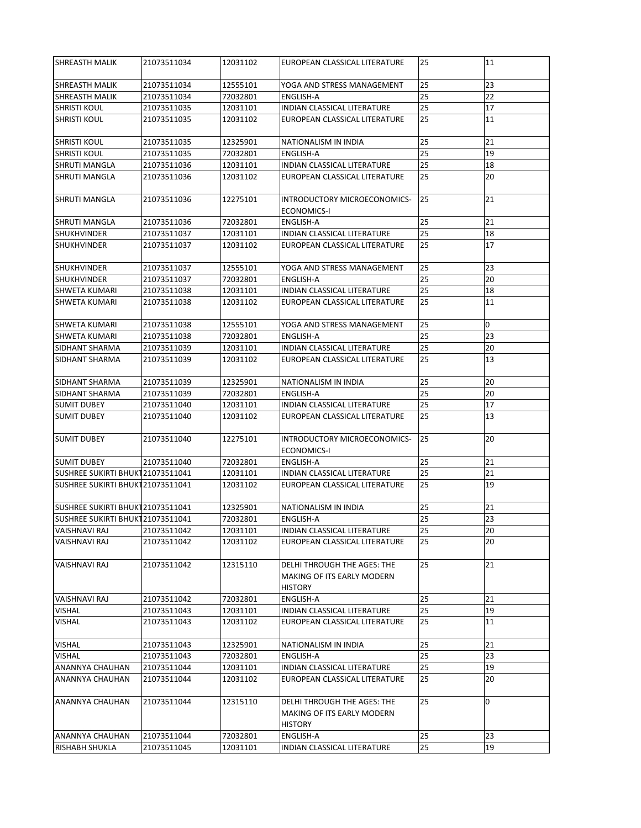| <b>SHREASTH MALIK</b>            | 21073511034 | 12031102 | EUROPEAN CLASSICAL LITERATURE                                                      | 25 | 11  |
|----------------------------------|-------------|----------|------------------------------------------------------------------------------------|----|-----|
| <b>SHREASTH MALIK</b>            | 21073511034 | 12555101 | YOGA AND STRESS MANAGEMENT                                                         | 25 | 23  |
| <b>SHREASTH MALIK</b>            | 21073511034 | 72032801 | <b>ENGLISH-A</b>                                                                   | 25 | 22  |
| <b>SHRISTI KOUL</b>              | 21073511035 | 12031101 | <b>INDIAN CLASSICAL LITERATURE</b>                                                 | 25 | 17  |
| ISHRISTI KOUL                    | 21073511035 | 12031102 | EUROPEAN CLASSICAL LITERATURE                                                      | 25 | 11  |
| <b>SHRISTI KOUL</b>              | 21073511035 | 12325901 | NATIONALISM IN INDIA                                                               | 25 | 21  |
| <b>SHRISTI KOUL</b>              | 21073511035 | 72032801 | <b>ENGLISH-A</b>                                                                   | 25 | 19  |
| <b>SHRUTI MANGLA</b>             | 21073511036 | 12031101 | <b>INDIAN CLASSICAL LITERATURE</b>                                                 | 25 | 18  |
| <b>SHRUTI MANGLA</b>             | 21073511036 | 12031102 | EUROPEAN CLASSICAL LITERATURE                                                      | 25 | 20  |
| <b>I</b> SHRUTI MANGLA           | 21073511036 | 12275101 | INTRODUCTORY MICROECONOMICS-<br><b>ECONOMICS-I</b>                                 | 25 | 21  |
| <b>SHRUTI MANGLA</b>             | 21073511036 | 72032801 | <b>ENGLISH-A</b>                                                                   | 25 | 21  |
| <b>SHUKHVINDER</b>               | 21073511037 | 12031101 | INDIAN CLASSICAL LITERATURE                                                        | 25 | 18  |
| <b>SHUKHVINDER</b>               | 21073511037 | 12031102 | EUROPEAN CLASSICAL LITERATURE                                                      | 25 | 17  |
| <b>SHUKHVINDER</b>               | 21073511037 | 12555101 | YOGA AND STRESS MANAGEMENT                                                         | 25 | 23  |
| <b>SHUKHVINDER</b>               | 21073511037 | 72032801 | <b>ENGLISH-A</b>                                                                   | 25 | 20  |
| <b>SHWETA KUMARI</b>             | 21073511038 | 12031101 | INDIAN CLASSICAL LITERATURE                                                        | 25 | 18  |
| <b>SHWETA KUMARI</b>             | 21073511038 | 12031102 | EUROPEAN CLASSICAL LITERATURE                                                      | 25 | 11  |
| <b>SHWETA KUMARI</b>             | 21073511038 | 12555101 | YOGA AND STRESS MANAGEMENT                                                         | 25 | 0   |
| <b>SHWETA KUMARI</b>             | 21073511038 | 72032801 | <b>ENGLISH-A</b>                                                                   | 25 | 23  |
| <b>SIDHANT SHARMA</b>            | 21073511039 | 12031101 | <b>INDIAN CLASSICAL LITERATURE</b>                                                 | 25 | 20  |
| <b>SIDHANT SHARMA</b>            | 21073511039 | 12031102 | EUROPEAN CLASSICAL LITERATURE                                                      | 25 | 13  |
| <b>ISIDHANT SHARMA</b>           | 21073511039 | 12325901 | NATIONALISM IN INDIA                                                               | 25 | 20  |
| <b>SIDHANT SHARMA</b>            | 21073511039 | 72032801 | <b>ENGLISH-A</b>                                                                   | 25 | 20  |
| <b>SUMIT DUBEY</b>               | 21073511040 | 12031101 | INDIAN CLASSICAL LITERATURE                                                        | 25 | 17  |
| <b>SUMIT DUBEY</b>               | 21073511040 | 12031102 | EUROPEAN CLASSICAL LITERATURE                                                      | 25 | 13  |
| <b>SUMIT DUBEY</b>               | 21073511040 | 12275101 | INTRODUCTORY MICROECONOMICS-<br><b>ECONOMICS-I</b>                                 | 25 | 20  |
| <b>SUMIT DUBEY</b>               | 21073511040 | 72032801 | <b>ENGLISH-A</b>                                                                   | 25 | 21  |
| SUSHREE SUKIRTI BHUK121073511041 |             | 12031101 | INDIAN CLASSICAL LITERATURE                                                        | 25 | 21  |
| SUSHREE SUKIRTI BHUK121073511041 |             | 12031102 | EUROPEAN CLASSICAL LITERATURE                                                      | 25 | 19  |
| SUSHREE SUKIRTI BHUK121073511041 |             | 12325901 | <b>NATIONALISM IN INDIA</b>                                                        | 25 | 21  |
| SUSHREE SUKIRTI BHUK121073511041 |             | 72032801 | <b>ENGLISH-A</b>                                                                   | 25 | 23  |
| <b>VAISHNAVI RAJ</b>             | 21073511042 | 12031101 | <b>INDIAN CLASSICAL LITERATURE</b>                                                 | 25 | 20  |
| VAISHNAVI RAJ                    | 21073511042 | 12031102 | EUROPEAN CLASSICAL LITERATURE                                                      | 25 | 20  |
| <b>VAISHNAVI RAJ</b>             | 21073511042 | 12315110 | <b>DELHI THROUGH THE AGES: THE</b><br>MAKING OF ITS EARLY MODERN<br><b>HISTORY</b> | 25 | 21  |
| VAISHNAVI RAJ                    | 21073511042 | 72032801 | <b>ENGLISH-A</b>                                                                   | 25 | 21  |
| <b>VISHAL</b>                    | 21073511043 | 12031101 | <b>INDIAN CLASSICAL LITERATURE</b>                                                 | 25 | 19  |
| <b>VISHAL</b>                    | 21073511043 | 12031102 | EUROPEAN CLASSICAL LITERATURE                                                      | 25 | 11  |
| <b>VISHAL</b>                    | 21073511043 | 12325901 | NATIONALISM IN INDIA                                                               | 25 | 21  |
| <b>VISHAL</b>                    | 21073511043 | 72032801 | <b>ENGLISH-A</b>                                                                   | 25 | 23  |
| <b>ANANNYA CHAUHAN</b>           | 21073511044 | 12031101 | <b>INDIAN CLASSICAL LITERATURE</b>                                                 | 25 | 19  |
| ANANNYA CHAUHAN                  | 21073511044 | 12031102 | EUROPEAN CLASSICAL LITERATURE                                                      | 25 | 20  |
| IANANNYA CHAUHAN                 | 21073511044 | 12315110 | DELHI THROUGH THE AGES: THE<br><b>MAKING OF ITS EARLY MODERN</b><br><b>HISTORY</b> | 25 | lo. |
| ANANNYA CHAUHAN                  | 21073511044 | 72032801 | ENGLISH-A                                                                          | 25 | 23  |
| <b>RISHABH SHUKLA</b>            | 21073511045 | 12031101 | INDIAN CLASSICAL LITERATURE                                                        | 25 | 19  |